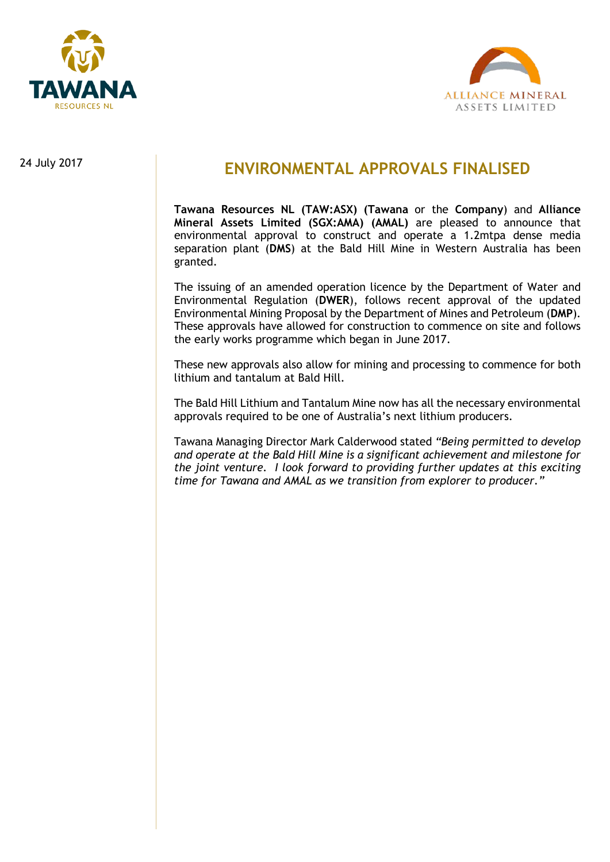



## <sup>24</sup> July 2017 **ENVIRONMENTAL APPROVALS FINALISED**

**Tawana Resources NL (TAW:ASX) (Tawana** or the **Company**) and **Alliance Mineral Assets Limited (SGX:AMA) (AMAL)** are pleased to announce that environmental approval to construct and operate a 1.2mtpa dense media separation plant (**DMS**) at the Bald Hill Mine in Western Australia has been granted.

The issuing of an amended operation licence by the Department of Water and Environmental Regulation (**DWER**), follows recent approval of the updated Environmental Mining Proposal by the Department of Mines and Petroleum (**DMP**). These approvals have allowed for construction to commence on site and follows the early works programme which began in June 2017.

These new approvals also allow for mining and processing to commence for both lithium and tantalum at Bald Hill.

The Bald Hill Lithium and Tantalum Mine now has all the necessary environmental approvals required to be one of Australia's next lithium producers.

Tawana Managing Director Mark Calderwood stated *"Being permitted to develop and operate at the Bald Hill Mine is a significant achievement and milestone for the joint venture. I look forward to providing further updates at this exciting time for Tawana and AMAL as we transition from explorer to producer."*